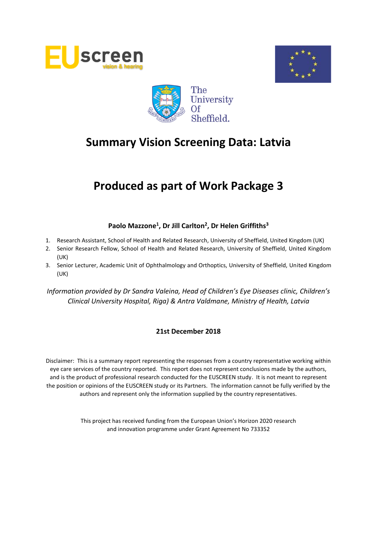





## **Produced as part of Work Package 3**

#### **Paolo Mazzone<sup>1</sup> , Dr Jill Carlton<sup>2</sup> , Dr Helen Griffiths<sup>3</sup>**

- 1. Research Assistant, School of Health and Related Research, University of Sheffield, United Kingdom (UK)
- 2. Senior Research Fellow, School of Health and Related Research, University of Sheffield, United Kingdom (UK)
- 3. Senior Lecturer, Academic Unit of Ophthalmology and Orthoptics, University of Sheffield, United Kingdom (UK)

*Information provided by Dr Sandra Valeina, Head of Children's Eye Diseases clinic, Children's Clinical University Hospital, Riga) & Antra Valdmane, Ministry of Health, Latvia*

#### **21st December 2018**

Disclaimer: This is a summary report representing the responses from a country representative working within eye care services of the country reported. This report does not represent conclusions made by the authors, and is the product of professional research conducted for the EUSCREEN study. It is not meant to represent the position or opinions of the EUSCREEN study or its Partners. The information cannot be fully verified by the authors and represent only the information supplied by the country representatives.

> This project has received funding from the European Union's Horizon 2020 research and innovation programme under Grant Agreement No 733352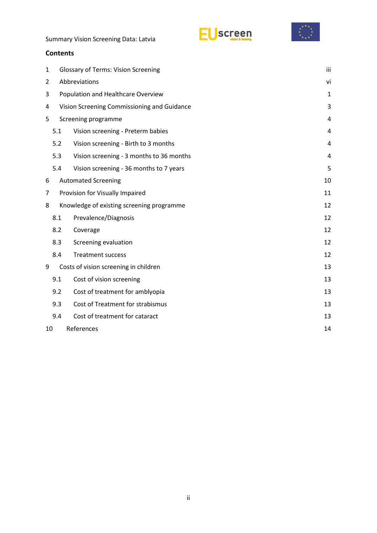



#### **Contents**

| 1  | <b>Glossary of Terms: Vision Screening</b>    |                                             |                |  |  |  |
|----|-----------------------------------------------|---------------------------------------------|----------------|--|--|--|
| 2  | Abbreviations                                 |                                             |                |  |  |  |
| 3  | Population and Healthcare Overview            |                                             |                |  |  |  |
| 4  |                                               | Vision Screening Commissioning and Guidance | 3              |  |  |  |
| 5  |                                               | Screening programme                         | 4              |  |  |  |
|    | 5.1                                           | Vision screening - Preterm babies           | 4              |  |  |  |
|    | 5.2                                           | Vision screening - Birth to 3 months        | $\overline{4}$ |  |  |  |
|    | 5.3                                           | Vision screening - 3 months to 36 months    | 4              |  |  |  |
|    | 5.4                                           | Vision screening - 36 months to 7 years     | 5              |  |  |  |
| 6  |                                               | <b>Automated Screening</b>                  | 10             |  |  |  |
| 7  |                                               | Provision for Visually Impaired             | 11             |  |  |  |
| 8  |                                               | Knowledge of existing screening programme   | 12             |  |  |  |
|    | 8.1                                           | Prevalence/Diagnosis                        | 12             |  |  |  |
|    | 8.2                                           | Coverage                                    | 12             |  |  |  |
|    | Screening evaluation<br>8.3<br>12             |                                             |                |  |  |  |
|    | 8.4<br><b>Treatment success</b><br>12         |                                             |                |  |  |  |
| 9  |                                               | Costs of vision screening in children       | 13             |  |  |  |
|    | Cost of vision screening<br>9.1               |                                             |                |  |  |  |
|    | Cost of treatment for amblyopia<br>9.2<br>13  |                                             |                |  |  |  |
|    | Cost of Treatment for strabismus<br>9.3<br>13 |                                             |                |  |  |  |
|    | Cost of treatment for cataract<br>9.4<br>13   |                                             |                |  |  |  |
| 10 | References<br>14                              |                                             |                |  |  |  |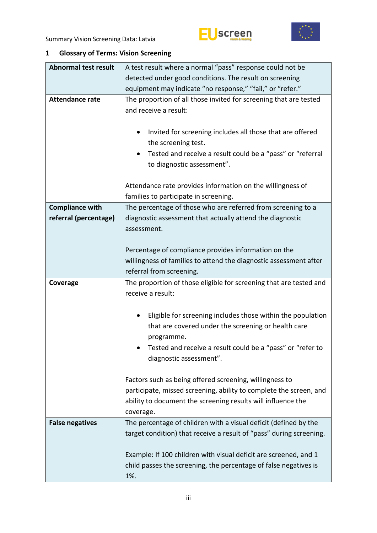# Uscreen



### <span id="page-2-0"></span>**1 Glossary of Terms: Vision Screening**

| <b>Abnormal test result</b> | A test result where a normal "pass" response could not be                                                                                                        |  |  |  |  |  |
|-----------------------------|------------------------------------------------------------------------------------------------------------------------------------------------------------------|--|--|--|--|--|
|                             | detected under good conditions. The result on screening                                                                                                          |  |  |  |  |  |
|                             | equipment may indicate "no response," "fail," or "refer."                                                                                                        |  |  |  |  |  |
| <b>Attendance rate</b>      | The proportion of all those invited for screening that are tested<br>and receive a result:                                                                       |  |  |  |  |  |
|                             | Invited for screening includes all those that are offered<br>$\bullet$<br>the screening test.<br>Tested and receive a result could be a "pass" or "referral<br>٠ |  |  |  |  |  |
|                             | to diagnostic assessment".                                                                                                                                       |  |  |  |  |  |
|                             | Attendance rate provides information on the willingness of<br>families to participate in screening.                                                              |  |  |  |  |  |
| <b>Compliance with</b>      | The percentage of those who are referred from screening to a                                                                                                     |  |  |  |  |  |
| referral (percentage)       | diagnostic assessment that actually attend the diagnostic<br>assessment.                                                                                         |  |  |  |  |  |
|                             |                                                                                                                                                                  |  |  |  |  |  |
|                             | Percentage of compliance provides information on the                                                                                                             |  |  |  |  |  |
|                             | willingness of families to attend the diagnostic assessment after                                                                                                |  |  |  |  |  |
|                             | referral from screening.                                                                                                                                         |  |  |  |  |  |
|                             |                                                                                                                                                                  |  |  |  |  |  |
| Coverage                    | The proportion of those eligible for screening that are tested and                                                                                               |  |  |  |  |  |
|                             | receive a result:                                                                                                                                                |  |  |  |  |  |
|                             |                                                                                                                                                                  |  |  |  |  |  |
|                             | Eligible for screening includes those within the population<br>٠                                                                                                 |  |  |  |  |  |
|                             | that are covered under the screening or health care                                                                                                              |  |  |  |  |  |
|                             | programme.                                                                                                                                                       |  |  |  |  |  |
|                             | Tested and receive a result could be a "pass" or "refer to                                                                                                       |  |  |  |  |  |
|                             | diagnostic assessment".                                                                                                                                          |  |  |  |  |  |
|                             |                                                                                                                                                                  |  |  |  |  |  |
|                             | Factors such as being offered screening, willingness to                                                                                                          |  |  |  |  |  |
|                             | participate, missed screening, ability to complete the screen, and                                                                                               |  |  |  |  |  |
|                             | ability to document the screening results will influence the                                                                                                     |  |  |  |  |  |
|                             | coverage.                                                                                                                                                        |  |  |  |  |  |
| <b>False negatives</b>      | The percentage of children with a visual deficit (defined by the                                                                                                 |  |  |  |  |  |
|                             | target condition) that receive a result of "pass" during screening.                                                                                              |  |  |  |  |  |
|                             |                                                                                                                                                                  |  |  |  |  |  |
|                             | Example: If 100 children with visual deficit are screened, and 1                                                                                                 |  |  |  |  |  |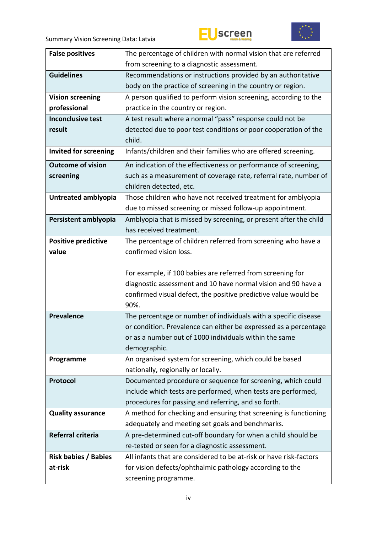# EUscreen



| <b>False positives</b>       | The percentage of children with normal vision that are referred                  |  |  |
|------------------------------|----------------------------------------------------------------------------------|--|--|
|                              | from screening to a diagnostic assessment.                                       |  |  |
| <b>Guidelines</b>            | Recommendations or instructions provided by an authoritative                     |  |  |
|                              | body on the practice of screening in the country or region.                      |  |  |
| <b>Vision screening</b>      | A person qualified to perform vision screening, according to the                 |  |  |
| professional                 | practice in the country or region.                                               |  |  |
| <b>Inconclusive test</b>     | A test result where a normal "pass" response could not be                        |  |  |
| result                       | detected due to poor test conditions or poor cooperation of the                  |  |  |
|                              | child.                                                                           |  |  |
| <b>Invited for screening</b> | Infants/children and their families who are offered screening.                   |  |  |
| <b>Outcome of vision</b>     | An indication of the effectiveness or performance of screening,                  |  |  |
| screening                    | such as a measurement of coverage rate, referral rate, number of                 |  |  |
|                              | children detected, etc.                                                          |  |  |
| Untreated amblyopia          | Those children who have not received treatment for amblyopia                     |  |  |
|                              | due to missed screening or missed follow-up appointment.                         |  |  |
| Persistent amblyopia         | Amblyopia that is missed by screening, or present after the child                |  |  |
|                              | has received treatment.                                                          |  |  |
| <b>Positive predictive</b>   | The percentage of children referred from screening who have a                    |  |  |
| value                        | confirmed vision loss.                                                           |  |  |
|                              |                                                                                  |  |  |
|                              |                                                                                  |  |  |
|                              | For example, if 100 babies are referred from screening for                       |  |  |
|                              | diagnostic assessment and 10 have normal vision and 90 have a                    |  |  |
|                              | confirmed visual defect, the positive predictive value would be                  |  |  |
|                              | 90%.                                                                             |  |  |
| <b>Prevalence</b>            | The percentage or number of individuals with a specific disease                  |  |  |
|                              | or condition. Prevalence can either be expressed as a percentage                 |  |  |
|                              | or as a number out of 1000 individuals within the same                           |  |  |
|                              | demographic.                                                                     |  |  |
| Programme                    | An organised system for screening, which could be based                          |  |  |
|                              | nationally, regionally or locally.                                               |  |  |
| Protocol                     | Documented procedure or sequence for screening, which could                      |  |  |
|                              | include which tests are performed, when tests are performed,                     |  |  |
|                              | procedures for passing and referring, and so forth.                              |  |  |
| <b>Quality assurance</b>     | A method for checking and ensuring that screening is functioning                 |  |  |
|                              | adequately and meeting set goals and benchmarks.                                 |  |  |
| Referral criteria            | A pre-determined cut-off boundary for when a child should be                     |  |  |
|                              | re-tested or seen for a diagnostic assessment.                                   |  |  |
| <b>Risk babies / Babies</b>  | All infants that are considered to be at-risk or have risk-factors               |  |  |
| at-risk                      | for vision defects/ophthalmic pathology according to the<br>screening programme. |  |  |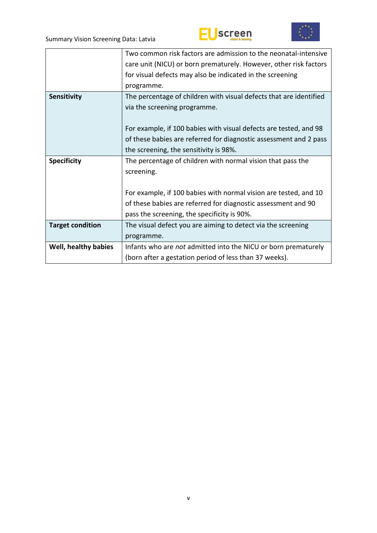



|                         | Two common risk factors are admission to the neonatal-intensive    |  |  |  |
|-------------------------|--------------------------------------------------------------------|--|--|--|
|                         | care unit (NICU) or born prematurely. However, other risk factors  |  |  |  |
|                         | for visual defects may also be indicated in the screening          |  |  |  |
|                         | programme.                                                         |  |  |  |
| Sensitivity             | The percentage of children with visual defects that are identified |  |  |  |
|                         | via the screening programme.                                       |  |  |  |
|                         |                                                                    |  |  |  |
|                         | For example, if 100 babies with visual defects are tested, and 98  |  |  |  |
|                         | of these babies are referred for diagnostic assessment and 2 pass  |  |  |  |
|                         | the screening, the sensitivity is 98%.                             |  |  |  |
| <b>Specificity</b>      | The percentage of children with normal vision that pass the        |  |  |  |
|                         | screening.                                                         |  |  |  |
|                         |                                                                    |  |  |  |
|                         | For example, if 100 babies with normal vision are tested, and 10   |  |  |  |
|                         | of these babies are referred for diagnostic assessment and 90      |  |  |  |
|                         | pass the screening, the specificity is 90%.                        |  |  |  |
| <b>Target condition</b> | The visual defect you are aiming to detect via the screening       |  |  |  |
|                         | programme.                                                         |  |  |  |
| Well, healthy babies    | Infants who are not admitted into the NICU or born prematurely     |  |  |  |
|                         | (born after a gestation period of less than 37 weeks).             |  |  |  |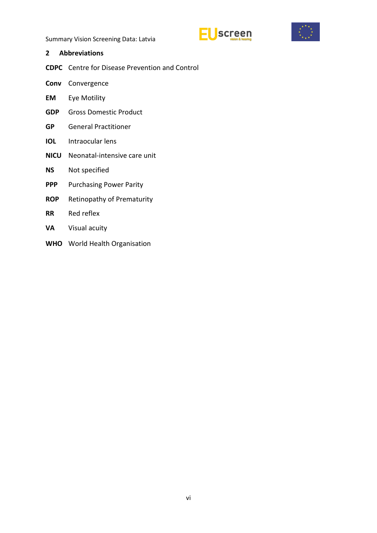



- <span id="page-5-0"></span>**2 Abbreviations**
- **CDPC** Centre for Disease Prevention and Control
- **Conv** Convergence
- **EM** Eye Motility
- **GDP** Gross Domestic Product
- **GP** General Practitioner
- **IOL** Intraocular lens
- **NICU** Neonatal-intensive care unit
- **NS** Not specified
- **PPP** Purchasing Power Parity
- **ROP** Retinopathy of Prematurity
- **RR** Red reflex
- **VA** Visual acuity
- **WHO** World Health Organisation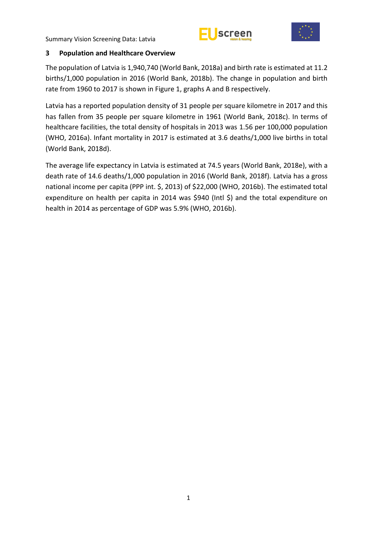



#### <span id="page-6-0"></span>**3 Population and Healthcare Overview**

The population of Latvia is 1,940,740 (World Bank, 2018a) and birth rate is estimated at 11.2 births/1,000 population in 2016 (World Bank, 2018b). The change in population and birth rate from 1960 to 2017 is shown in Figure 1, graphs A and B respectively.

Latvia has a reported population density of 31 people per square kilometre in 2017 and this has fallen from 35 people per square kilometre in 1961 (World Bank, 2018c). In terms of healthcare facilities, the total density of hospitals in 2013 was 1.56 per 100,000 population (WHO, 2016a). Infant mortality in 2017 is estimated at 3.6 deaths/1,000 live births in total (World Bank, 2018d).

The average life expectancy in Latvia is estimated at 74.5 years (World Bank, 2018e), with a death rate of 14.6 deaths/1,000 population in 2016 (World Bank, 2018f). Latvia has a gross national income per capita (PPP int. \$, 2013) of \$22,000 (WHO, 2016b). The estimated total expenditure on health per capita in 2014 was \$940 (Intl \$) and the total expenditure on health in 2014 as percentage of GDP was 5.9% (WHO, 2016b).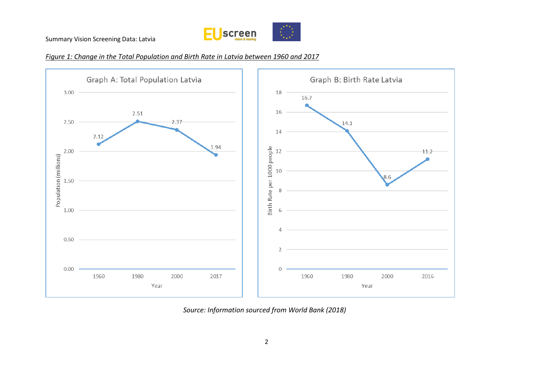

#### *Figure 1: Change in the Total Population and Birth Rate in Latvia between 1960 and 2017*



*Source: Information sourced from World Bank (2018)*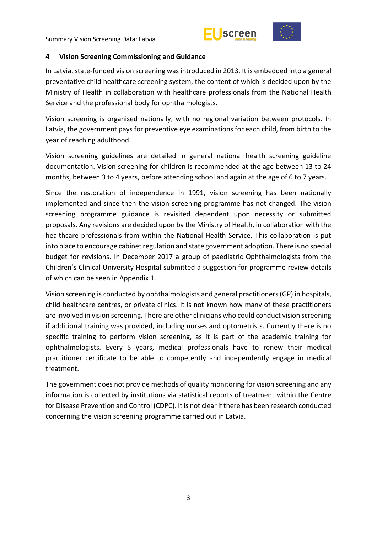



#### <span id="page-8-0"></span>**4 Vision Screening Commissioning and Guidance**

In Latvia, state-funded vision screening was introduced in 2013. It is embedded into a general preventative child healthcare screening system, the content of which is decided upon by the Ministry of Health in collaboration with healthcare professionals from the National Health Service and the professional body for ophthalmologists.

Vision screening is organised nationally, with no regional variation between protocols. In Latvia, the government pays for preventive eye examinations for each child, from birth to the year of reaching adulthood.

Vision screening guidelines are detailed in general national health screening guideline documentation. Vision screening for children is recommended at the age between 13 to 24 months, between 3 to 4 years, before attending school and again at the age of 6 to 7 years.

Since the restoration of independence in 1991, vision screening has been nationally implemented and since then the vision screening programme has not changed. The vision screening programme guidance is revisited dependent upon necessity or submitted proposals. Any revisions are decided upon by the Ministry of Health, in collaboration with the healthcare professionals from within the National Health Service. This collaboration is put into place to encourage cabinet regulation and state government adoption. There is no special budget for revisions. In December 2017 a group of paediatric Ophthalmologists from the Children's Clinical University Hospital submitted a suggestion for programme review details of which can be seen in Appendix 1.

Vision screening is conducted by ophthalmologists and general practitioners (GP) in hospitals, child healthcare centres, or private clinics. It is not known how many of these practitioners are involved in vision screening. There are other clinicians who could conduct vision screening if additional training was provided, including nurses and optometrists. Currently there is no specific training to perform vision screening, as it is part of the academic training for ophthalmologists. Every 5 years, medical professionals have to renew their medical practitioner certificate to be able to competently and independently engage in medical treatment.

The government does not provide methods of quality monitoring for vision screening and any information is collected by institutions via statistical reports of treatment within the Centre for Disease Prevention and Control (CDPC). It is not clear if there has been research conducted concerning the vision screening programme carried out in Latvia.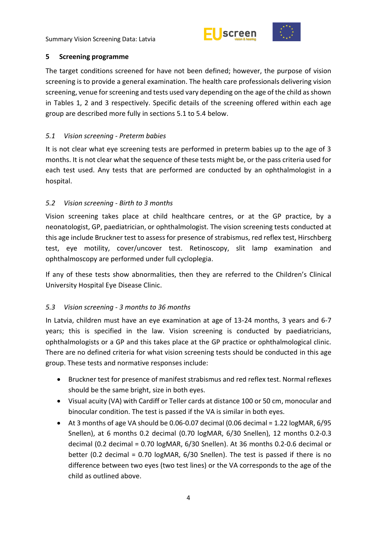



#### <span id="page-9-0"></span>**5 Screening programme**

The target conditions screened for have not been defined; however, the purpose of vision screening is to provide a general examination. The health care professionals delivering vision screening, venue for screening and tests used vary depending on the age of the child as shown in Tables 1, 2 and 3 respectively. Specific details of the screening offered within each age group are described more fully in sections 5.1 to 5.4 below.

#### <span id="page-9-1"></span>*5.1 Vision screening - Preterm babies*

It is not clear what eye screening tests are performed in preterm babies up to the age of 3 months. It is not clear what the sequence of these tests might be, or the pass criteria used for each test used. Any tests that are performed are conducted by an ophthalmologist in a hospital.

#### <span id="page-9-2"></span>*5.2 Vision screening - Birth to 3 months*

Vision screening takes place at child healthcare centres, or at the GP practice, by a neonatologist, GP, paediatrician, or ophthalmologist. The vision screening tests conducted at this age include Bruckner test to assess for presence of strabismus, red reflex test, Hirschberg test, eye motility, cover/uncover test. Retinoscopy, slit lamp examination and ophthalmoscopy are performed under full cycloplegia.

If any of these tests show abnormalities, then they are referred to the Children's Clinical University Hospital Eye Disease Clinic.

#### <span id="page-9-3"></span>*5.3 Vision screening - 3 months to 36 months*

In Latvia, children must have an eye examination at age of 13-24 months, 3 years and 6-7 years; this is specified in the law. Vision screening is conducted by paediatricians, ophthalmologists or a GP and this takes place at the GP practice or ophthalmological clinic. There are no defined criteria for what vision screening tests should be conducted in this age group. These tests and normative responses include:

- Bruckner test for presence of manifest strabismus and red reflex test. Normal reflexes should be the same bright, size in both eyes.
- Visual acuity (VA) with Cardiff or Teller cards at distance 100 or 50 cm, monocular and binocular condition. The test is passed if the VA is similar in both eyes.
- $\bullet$  At 3 months of age VA should be 0.06-0.07 decimal (0.06 decimal = 1.22 logMAR, 6/95 Snellen), at 6 months 0.2 decimal (0.70 logMAR, 6/30 Snellen), 12 months 0.2-0.3 decimal (0.2 decimal = 0.70 logMAR, 6/30 Snellen). At 36 months 0.2-0.6 decimal or better (0.2 decimal = 0.70 logMAR, 6/30 Snellen). The test is passed if there is no difference between two eyes (two test lines) or the VA corresponds to the age of the child as outlined above.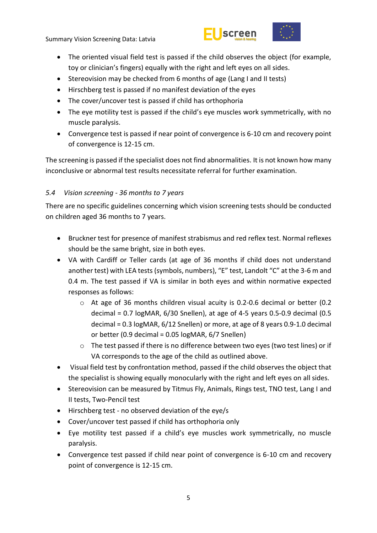



- The oriented visual field test is passed if the child observes the object (for example, toy or clinician's fingers) equally with the right and left eyes on all sides.
- Stereovision may be checked from 6 months of age (Lang I and II tests)
- Hirschberg test is passed if no manifest deviation of the eyes
- The cover/uncover test is passed if child has orthophoria
- The eye motility test is passed if the child's eye muscles work symmetrically, with no muscle paralysis.
- Convergence test is passed if near point of convergence is 6-10 cm and recovery point of convergence is 12-15 cm.

The screening is passed if the specialist does not find abnormalities. It is not known how many inconclusive or abnormal test results necessitate referral for further examination.

#### <span id="page-10-0"></span>*5.4 Vision screening - 36 months to 7 years*

There are no specific guidelines concerning which vision screening tests should be conducted on children aged 36 months to 7 years.

- Bruckner test for presence of manifest strabismus and red reflex test. Normal reflexes should be the same bright, size in both eyes.
- VA with Cardiff or Teller cards (at age of 36 months if child does not understand another test) with LEA tests (symbols, numbers), "E" test, Landolt "C" at the 3-6 m and 0.4 m. The test passed if VA is similar in both eyes and within normative expected responses as follows:
	- $\circ$  At age of 36 months children visual acuity is 0.2-0.6 decimal or better (0.2 decimal =  $0.7$  logMAR,  $6/30$  Snellen), at age of 4-5 years 0.5-0.9 decimal (0.5 decimal = 0.3 logMAR, 6/12 Snellen) or more, at age of 8 years 0.9-1.0 decimal or better (0.9 decimal = 0.05 logMAR, 6/7 Snellen)
	- o The test passed if there is no difference between two eyes (two test lines) or if VA corresponds to the age of the child as outlined above.
- Visual field test by confrontation method, passed if the child observes the object that the specialist is showing equally monocularly with the right and left eyes on all sides.
- Stereovision can be measured by Titmus Fly, Animals, Rings test, TNO test, Lang I and II tests, Two-Pencil test
- Hirschberg test no observed deviation of the eye/s
- Cover/uncover test passed if child has orthophoria only
- Eye motility test passed if a child's eye muscles work symmetrically, no muscle paralysis.
- Convergence test passed if child near point of convergence is 6-10 cm and recovery point of convergence is 12-15 cm.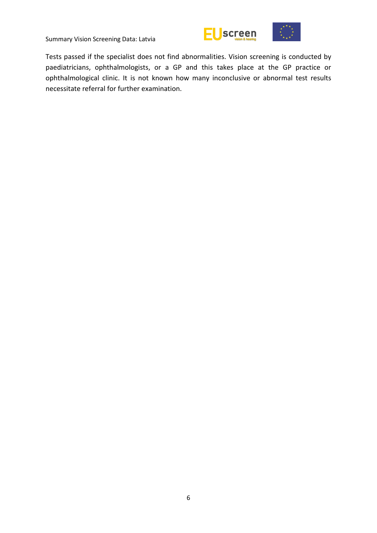



Tests passed if the specialist does not find abnormalities. Vision screening is conducted by paediatricians, ophthalmologists, or a GP and this takes place at the GP practice or ophthalmological clinic. It is not known how many inconclusive or abnormal test results necessitate referral for further examination.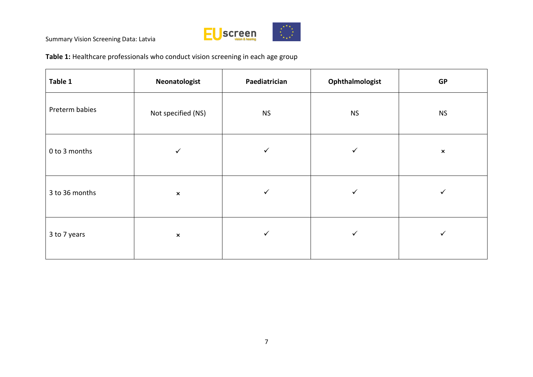

**Table 1:** Healthcare professionals who conduct vision screening in each age group

| Table 1        | Neonatologist      | Paediatrician | Ophthalmologist | <b>GP</b>      |  |
|----------------|--------------------|---------------|-----------------|----------------|--|
| Preterm babies | Not specified (NS) | <b>NS</b>     | <b>NS</b>       | <b>NS</b>      |  |
| 0 to 3 months  | ✓                  | ✓             | ✓               | $\pmb{\times}$ |  |
| 3 to 36 months | $\pmb{\times}$     | ✓             | ✓               | ✓              |  |
| 3 to 7 years   | $\pmb{\times}$     | ✓             | ✓               | ✓              |  |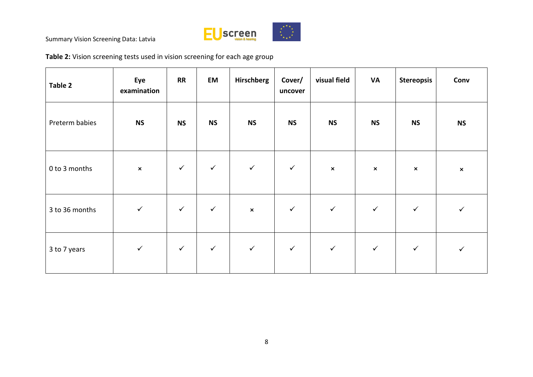

**Table 2:** Vision screening tests used in vision screening for each age group

| Table 2        | Eye<br>examination | <b>RR</b>    | EM           | <b>Hirschberg</b> | Cover/<br>uncover | visual field   | <b>VA</b>      | <b>Stereopsis</b> | Conv           |
|----------------|--------------------|--------------|--------------|-------------------|-------------------|----------------|----------------|-------------------|----------------|
| Preterm babies | <b>NS</b>          | <b>NS</b>    | <b>NS</b>    | <b>NS</b>         | <b>NS</b>         | <b>NS</b>      | <b>NS</b>      | <b>NS</b>         | <b>NS</b>      |
| 0 to 3 months  | $\pmb{\times}$     | $\checkmark$ | $\checkmark$ | $\checkmark$      | $\checkmark$      | $\pmb{\times}$ | $\pmb{\times}$ | $\pmb{\times}$    | $\pmb{\times}$ |
| 3 to 36 months | $\checkmark$       | $\checkmark$ | $\checkmark$ | $\pmb{\times}$    | $\checkmark$      | $\checkmark$   | $\checkmark$   | $\checkmark$      |                |
| 3 to 7 years   | $\checkmark$       | $\checkmark$ | $\checkmark$ | $\checkmark$      | $\checkmark$      | $\checkmark$   | $\checkmark$   | $\checkmark$      | $\checkmark$   |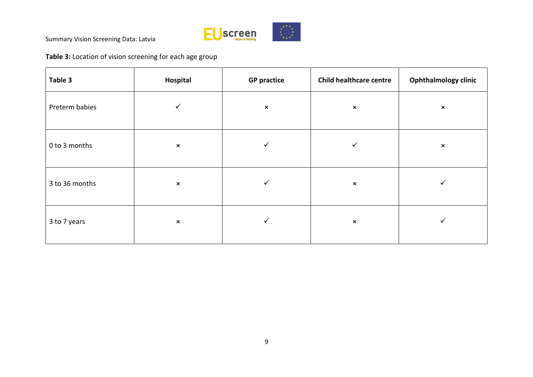

**Table 3:** Location of vision screening for each age group

| Table 3        | Hospital       | <b>GP practice</b> | <b>Child healthcare centre</b> | <b>Ophthalmology clinic</b> |
|----------------|----------------|--------------------|--------------------------------|-----------------------------|
| Preterm babies | ✓              | $\pmb{\times}$     | $\pmb{\times}$                 | $\pmb{\times}$              |
| 0 to 3 months  | $\pmb{\times}$ | ✓                  | ✓                              | $\boldsymbol{\mathsf{x}}$   |
| 3 to 36 months | $\pmb{\times}$ | ✓                  | $\pmb{\times}$                 | ✔                           |
| 3 to 7 years   | $\pmb{\times}$ | ✓                  | $\pmb{\times}$                 | ✓                           |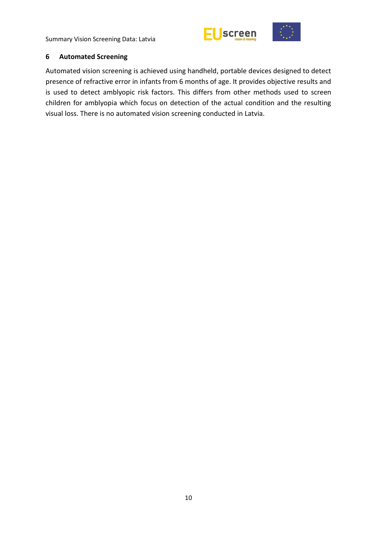



#### <span id="page-15-0"></span>**6 Automated Screening**

Automated vision screening is achieved using handheld, portable devices designed to detect presence of refractive error in infants from 6 months of age. It provides objective results and is used to detect amblyopic risk factors. This differs from other methods used to screen children for amblyopia which focus on detection of the actual condition and the resulting visual loss. There is no automated vision screening conducted in Latvia.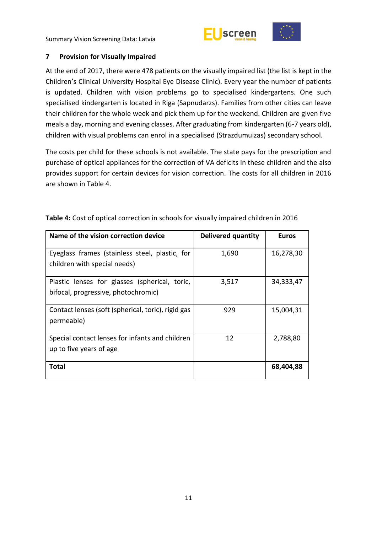



#### <span id="page-16-0"></span>**7 Provision for Visually Impaired**

At the end of 2017, there were 478 patients on the visually impaired list (the list is kept in the Children's Clinical University Hospital Eye Disease Clinic). Every year the number of patients is updated. Children with vision problems go to specialised kindergartens. One such specialised kindergarten is located in Riga (Sapnudarzs). Families from other cities can leave their children for the whole week and pick them up for the weekend. Children are given five meals a day, morning and evening classes. After graduating from kindergarten (6-7 years old), children with visual problems can enrol in a specialised (Strazdumuizas) secondary school.

The costs per child for these schools is not available. The state pays for the prescription and purchase of optical appliances for the correction of VA deficits in these children and the also provides support for certain devices for vision correction. The costs for all children in 2016 are shown in Table 4.

| Name of the vision correction device                                                 | <b>Delivered quantity</b> | <b>Euros</b> |
|--------------------------------------------------------------------------------------|---------------------------|--------------|
| Eyeglass frames (stainless steel, plastic, for<br>children with special needs)       | 1,690                     | 16,278,30    |
| Plastic lenses for glasses (spherical, toric,<br>bifocal, progressive, photochromic) | 3,517                     | 34,333,47    |
| Contact lenses (soft (spherical, toric), rigid gas<br>permeable)                     | 929                       | 15,004,31    |
| Special contact lenses for infants and children<br>up to five years of age           | 12                        | 2,788,80     |
| <b>Total</b>                                                                         |                           | 68,404,88    |

**Table 4:** Cost of optical correction in schools for visually impaired children in 2016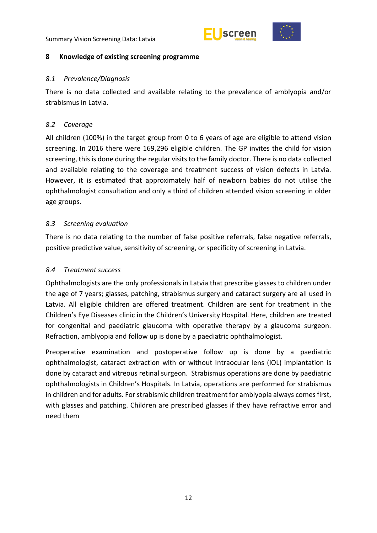



#### <span id="page-17-0"></span>**8 Knowledge of existing screening programme**

#### <span id="page-17-1"></span>*8.1 Prevalence/Diagnosis*

There is no data collected and available relating to the prevalence of amblyopia and/or strabismus in Latvia.

#### <span id="page-17-2"></span>*8.2 Coverage*

All children (100%) in the target group from 0 to 6 years of age are eligible to attend vision screening. In 2016 there were 169,296 eligible children. The GP invites the child for vision screening, this is done during the regular visits to the family doctor. There is no data collected and available relating to the coverage and treatment success of vision defects in Latvia. However, it is estimated that approximately half of newborn babies do not utilise the ophthalmologist consultation and only a third of children attended vision screening in older age groups.

#### <span id="page-17-3"></span>*8.3 Screening evaluation*

There is no data relating to the number of false positive referrals, false negative referrals, positive predictive value, sensitivity of screening, or specificity of screening in Latvia.

#### <span id="page-17-4"></span>*8.4 Treatment success*

Ophthalmologists are the only professionals in Latvia that prescribe glasses to children under the age of 7 years; glasses, patching, strabismus surgery and cataract surgery are all used in Latvia. All eligible children are offered treatment. Children are sent for treatment in the Children's Eye Diseases clinic in the Children's University Hospital. Here, children are treated for congenital and paediatric glaucoma with operative therapy by a glaucoma surgeon. Refraction, amblyopia and follow up is done by a paediatric ophthalmologist.

Preoperative examination and postoperative follow up is done by a paediatric ophthalmologist, cataract extraction with or without Intraocular lens (IOL) implantation is done by cataract and vitreous retinal surgeon. Strabismus operations are done by paediatric ophthalmologists in Children's Hospitals. In Latvia, operations are performed for strabismus in children and for adults. For strabismic children treatment for amblyopia always comes first, with glasses and patching. Children are prescribed glasses if they have refractive error and need them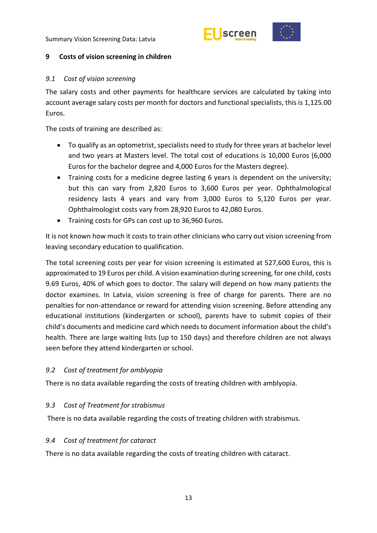



#### <span id="page-18-0"></span>**9 Costs of vision screening in children**

#### <span id="page-18-1"></span>*9.1 Cost of vision screening*

The salary costs and other payments for healthcare services are calculated by taking into account average salary costs per month for doctors and functional specialists, this is 1,125.00 Euros.

The costs of training are described as:

- To qualify as an optometrist, specialists need to study for three years at bachelor level and two years at Masters level. The total cost of educations is 10,000 Euros (6,000 Euros for the bachelor degree and 4,000 Euros for the Masters degree).
- Training costs for a medicine degree lasting 6 years is dependent on the university; but this can vary from 2,820 Euros to 3,600 Euros per year. Ophthalmological residency lasts 4 years and vary from 3,000 Euros to 5,120 Euros per year. Ophthalmologist costs vary from 28,920 Euros to 42,080 Euros.
- Training costs for GPs can cost up to 36,960 Euros.

It is not known how much it costs to train other clinicians who carry out vision screening from leaving secondary education to qualification.

The total screening costs per year for vision screening is estimated at 527,600 Euros, this is approximated to 19 Euros per child. A vision examination during screening, for one child, costs 9.69 Euros, 40% of which goes to doctor. The salary will depend on how many patients the doctor examines. In Latvia, vision screening is free of charge for parents. There are no penalties for non-attendance or reward for attending vision screening. Before attending any educational institutions (kindergarten or school), parents have to submit copies of their child's documents and medicine card which needs to document information about the child's health. There are large waiting lists (up to 150 days) and therefore children are not always seen before they attend kindergarten or school.

#### <span id="page-18-2"></span>*9.2 Cost of treatment for amblyopia*

There is no data available regarding the costs of treating children with amblyopia.

#### <span id="page-18-3"></span>*9.3 Cost of Treatment for strabismus*

There is no data available regarding the costs of treating children with strabismus.

#### <span id="page-18-4"></span>*9.4 Cost of treatment for cataract*

There is no data available regarding the costs of treating children with cataract.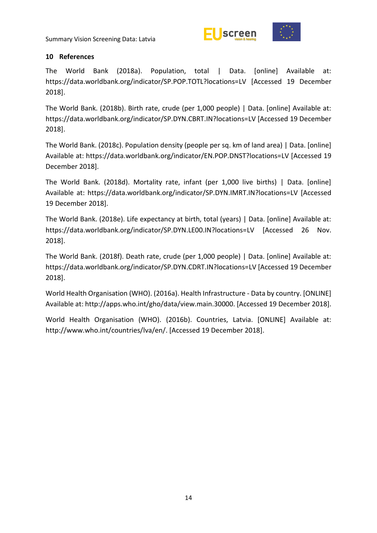



#### <span id="page-19-0"></span>**10 References**

The World Bank (2018a). Population, total | Data. [online] Available at: https://data.worldbank.org/indicator/SP.POP.TOTL?locations=LV [Accessed 19 December 2018].

The World Bank. (2018b). Birth rate, crude (per 1,000 people) | Data. [online] Available at: https://data.worldbank.org/indicator/SP.DYN.CBRT.IN?locations=LV [Accessed 19 December 2018].

The World Bank. (2018c). Population density (people per sq. km of land area) | Data. [online] Available at: https://data.worldbank.org/indicator/EN.POP.DNST?locations=LV [Accessed 19 December 2018].

The World Bank. (2018d). Mortality rate, infant (per 1,000 live births) | Data. [online] Available at: https://data.worldbank.org/indicator/SP.DYN.IMRT.IN?locations=LV [Accessed 19 December 2018].

The World Bank. (2018e). Life expectancy at birth, total (years) | Data. [online] Available at: https://data.worldbank.org/indicator/SP.DYN.LE00.IN?locations=LV [Accessed 26 Nov. 2018].

The World Bank. (2018f). Death rate, crude (per 1,000 people) | Data. [online] Available at: https://data.worldbank.org/indicator/SP.DYN.CDRT.IN?locations=LV [Accessed 19 December 2018].

World Health Organisation (WHO). (2016a). Health Infrastructure - Data by country. [ONLINE] Available at: http://apps.who.int/gho/data/view.main.30000. [Accessed 19 December 2018].

World Health Organisation (WHO). (2016b). Countries, Latvia. [ONLINE] Available at: http://www.who.int/countries/lva/en/. [Accessed 19 December 2018].